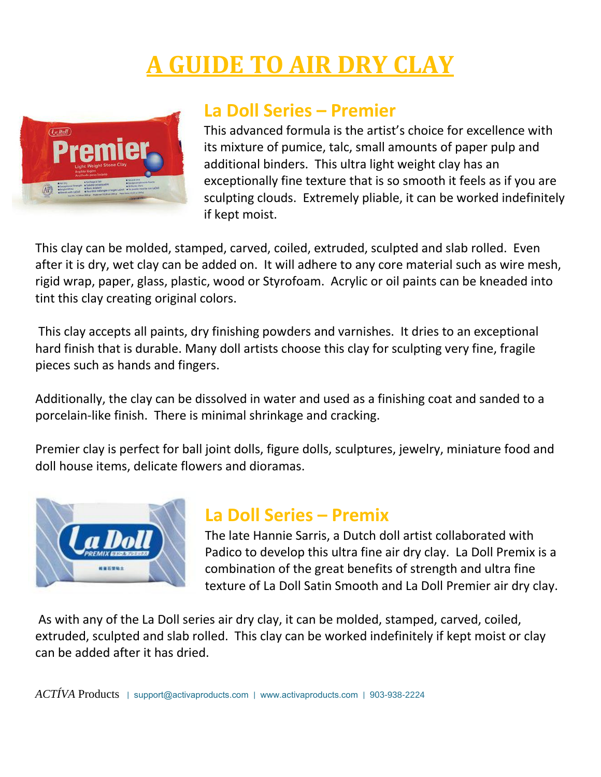# **GUIDE TO AIR DRY CLAY**



#### **La Doll Series – Premier**

This advanced formula is the artist's choice for excellence with its mixture of pumice, talc, small amounts of paper pulp and additional binders. This ultra light weight clay has an exceptionally fine texture that is so smooth it feels as if you are sculpting clouds. Extremely pliable, it can be worked indefinitely if kept moist.

This clay can be molded, stamped, carved, coiled, extruded, sculpted and slab rolled. Even after it is dry, wet clay can be added on. It will adhere to any core material such as wire mesh, rigid wrap, paper, glass, plastic, wood or Styrofoam. Acrylic or oil paints can be kneaded into tint this clay creating original colors.

This clay accepts all paints, dry finishing powders and varnishes. It dries to an exceptional hard finish that is durable. Many doll artists choose this clay for sculpting very fine, fragile pieces such as hands and fingers.

Additionally, the clay can be dissolved in water and used as a finishing coat and sanded to a porcelain-like finish. There is minimal shrinkage and cracking.

Premier clay is perfect for ball joint dolls, figure dolls, sculptures, jewelry, miniature food and doll house items, delicate flowers and dioramas.



#### **La Doll Series – Premix**

The late Hannie Sarris, a Dutch doll artist collaborated with Padico to develop this ultra fine air dry clay. La Doll Premix is a combination of the great benefits of strength and ultra fine texture of La Doll Satin Smooth and La Doll Premier air dry clay.

As with any of the La Doll series air dry clay, it can be molded, stamped, carved, coiled, extruded, sculpted and slab rolled. This clay can be worked indefinitely if kept moist or clay can be added after it has dried.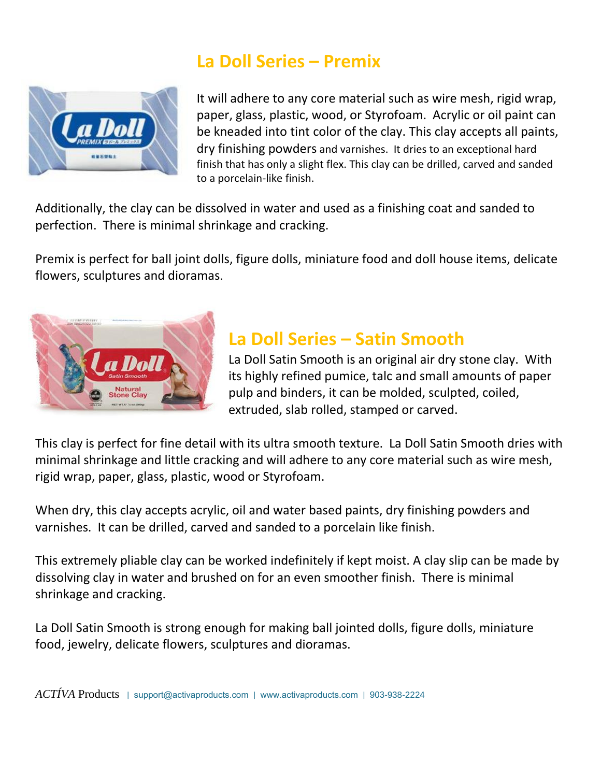### **La Doll Series – Premix**



It will adhere to any core material such as wire mesh, rigid wrap, paper, glass, plastic, wood, or Styrofoam. Acrylic or oil paint can be kneaded into tint color of the clay. This clay accepts all paints, dry finishing powders and varnishes. It dries to an exceptional hard finish that has only a slight flex. This clay can be drilled, carved and sanded to a porcelain-like finish.

Additionally, the clay can be dissolved in water and used as a finishing coat and sanded to perfection. There is minimal shrinkage and cracking.

Premix is perfect for ball joint dolls, figure dolls, miniature food and doll house items, delicate flowers, sculptures and dioramas.



## **La Doll Series – Satin Smooth**

La Doll Satin Smooth is an original air dry stone clay. With its highly refined pumice, talc and small amounts of paper pulp and binders, it can be molded, sculpted, coiled, extruded, slab rolled, stamped or carved.

This clay is perfect for fine detail with its ultra smooth texture. La Doll Satin Smooth dries with minimal shrinkage and little cracking and will adhere to any core material such as wire mesh, rigid wrap, paper, glass, plastic, wood or Styrofoam.

When dry, this clay accepts acrylic, oil and water based paints, dry finishing powders and varnishes. It can be drilled, carved and sanded to a porcelain like finish.

This extremely pliable clay can be worked indefinitely if kept moist. A clay slip can be made by dissolving clay in water and brushed on for an even smoother finish. There is minimal shrinkage and cracking.

La Doll Satin Smooth is strong enough for making ball jointed dolls, figure dolls, miniature food, jewelry, delicate flowers, sculptures and dioramas.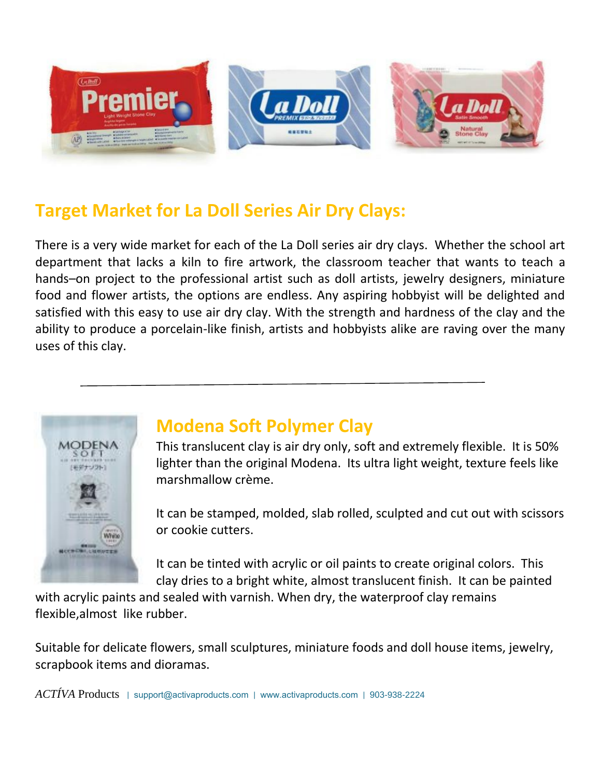

## **Target Market for La Doll Series Air Dry Clays:**

There is a very wide market for each of the La Doll series air dry clays. Whether the school art department that lacks a kiln to fire artwork, the classroom teacher that wants to teach a hands–on project to the professional artist such as doll artists, jewelry designers, miniature food and flower artists, the options are endless. Any aspiring hobbyist will be delighted and satisfied with this easy to use air dry clay. With the strength and hardness of the clay and the ability to produce a porcelain-like finish, artists and hobbyists alike are raving over the many uses of this clay.



### **Modena Soft Polymer Clay**

This translucent clay is air dry only, soft and extremely flexible. It is 50% lighter than the original Modena. Its ultra light weight, texture feels like marshmallow crème.

It can be stamped, molded, slab rolled, sculpted and cut out with scissors or cookie cutters.

It can be tinted with acrylic or oil paints to create original colors. This clay dries to a bright white, almost translucent finish. It can be painted

with acrylic paints and sealed with varnish. When dry, the waterproof clay remains flexible,almost like rubber.

Suitable for delicate flowers, small sculptures, miniature foods and doll house items, jewelry, scrapbook items and dioramas.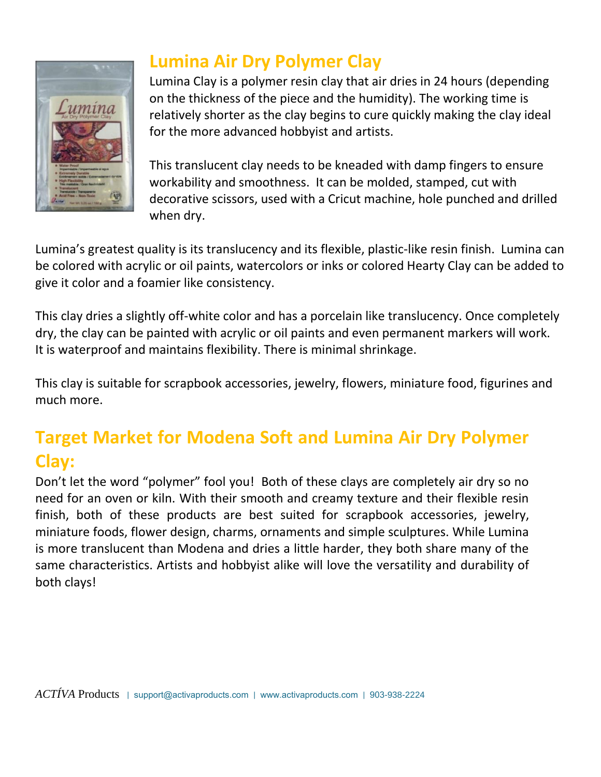

## **Lumina Air Dry Polymer Clay**

Lumina Clay is a polymer resin clay that air dries in 24 hours (depending on the thickness of the piece and the humidity). The working time is relatively shorter as the clay begins to cure quickly making the clay ideal for the more advanced hobbyist and artists.

This translucent clay needs to be kneaded with damp fingers to ensure workability and smoothness. It can be molded, stamped, cut with decorative scissors, used with a Cricut machine, hole punched and drilled when dry.

Lumina's greatest quality is its translucency and its flexible, plastic-like resin finish. Lumina can be colored with acrylic or oil paints, watercolors or inks or colored Hearty Clay can be added to give it color and a foamier like consistency.

This clay dries a slightly off-white color and has a porcelain like translucency. Once completely dry, the clay can be painted with acrylic or oil paints and even permanent markers will work. It is waterproof and maintains flexibility. There is minimal shrinkage.

This clay is suitable for scrapbook accessories, jewelry, flowers, miniature food, figurines and much more.

## **Target Market for Modena Soft and Lumina Air Dry Polymer Clay:**

Don't let the word "polymer" fool you! Both of these clays are completely air dry so no need for an oven or kiln. With their smooth and creamy texture and their flexible resin finish, both of these products are best suited for scrapbook accessories, jewelry, miniature foods, flower design, charms, ornaments and simple sculptures. While Lumina is more translucent than Modena and dries a little harder, they both share many of the same characteristics. Artists and hobbyist alike will love the versatility and durability of both clays!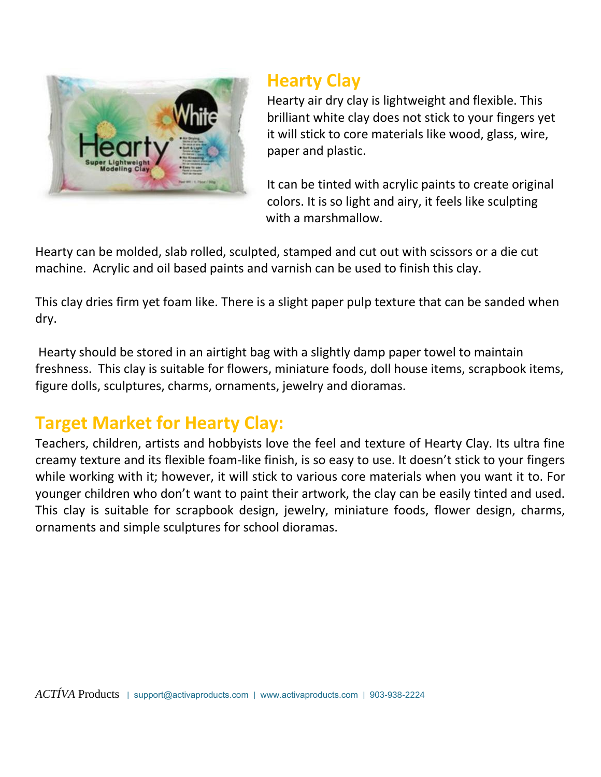

### **Hearty Clay**

Hearty air dry clay is lightweight and flexible. This brilliant white clay does not stick to your fingers yet it will stick to core materials like wood, glass, wire, paper and plastic.

It can be tinted with acrylic paints to create original colors. It is so light and airy, it feels like sculpting with a marshmallow.

Hearty can be molded, slab rolled, sculpted, stamped and cut out with scissors or a die cut machine. Acrylic and oil based paints and varnish can be used to finish this clay.

This clay dries firm yet foam like. There is a slight paper pulp texture that can be sanded when dry.

Hearty should be stored in an airtight bag with a slightly damp paper towel to maintain freshness. This clay is suitable for flowers, miniature foods, doll house items, scrapbook items, figure dolls, sculptures, charms, ornaments, jewelry and dioramas.

## **Target Market for Hearty Clay:**

Teachers, children, artists and hobbyists love the feel and texture of Hearty Clay. Its ultra fine creamy texture and its flexible foam-like finish, is so easy to use. It doesn't stick to your fingers while working with it; however, it will stick to various core materials when you want it to. For younger children who don't want to paint their artwork, the clay can be easily tinted and used. This clay is suitable for scrapbook design, jewelry, miniature foods, flower design, charms, ornaments and simple sculptures for school dioramas.